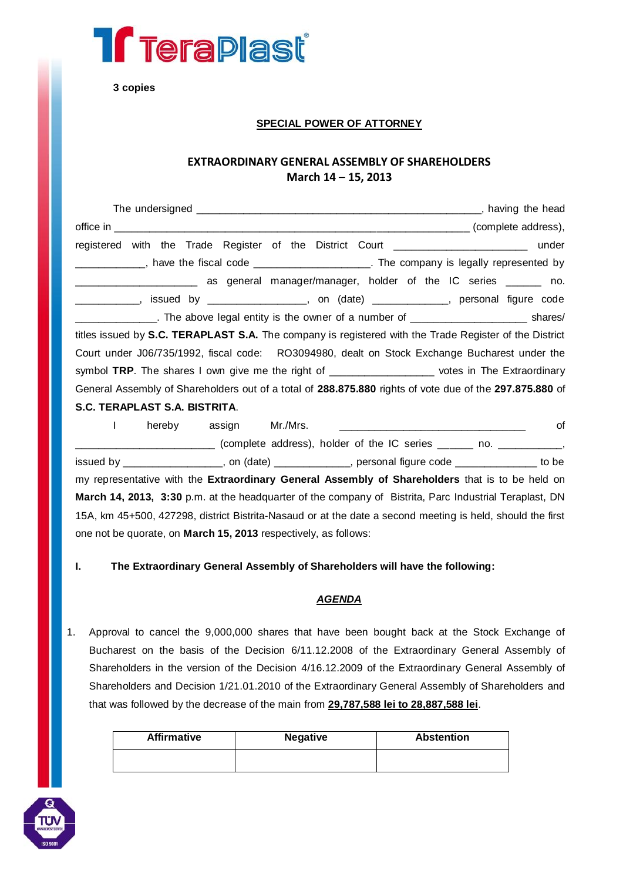

**3 copies**

### **SPECIAL POWER OF ATTORNEY**

# **EXTRAORDINARY GENERAL ASSEMBLY OF SHAREHOLDERS March 14 – 15, 2013**

| registered with the Trade Register of the District Court ________________________ under                                                                                                  |
|------------------------------------------------------------------------------------------------------------------------------------------------------------------------------------------|
| ____________, have the fiscal code _____________________. The company is legally represented by                                                                                          |
| as general manager/manager, holder of the IC series ______ no.<br><u> Alexandria de la construcción de la construcción de la construcción de la construcción de la construcción de l</u> |
| ____________, issued by _________________, on (date) ____________, personal figure code                                                                                                  |
| _______________. The above legal entity is the owner of a number of ___________________________ shares/                                                                                  |
| titles issued by S.C. TERAPLAST S.A. The company is registered with the Trade Register of the District                                                                                   |
| Court under J06/735/1992, fiscal code: RO3094980, dealt on Stock Exchange Bucharest under the                                                                                            |
| symbol TRP. The shares I own give me the right of ___________________ votes in The Extraordinary                                                                                         |
| General Assembly of Shareholders out of a total of 288.875.880 rights of vote due of the 297.875.880 of                                                                                  |
| S.C. TERAPLAST S.A. BISTRITA.                                                                                                                                                            |

I hereby assign Mr./Mrs. \_\_\_\_\_\_\_\_\_\_\_\_\_\_\_\_\_\_\_\_\_\_\_\_\_\_\_\_\_\_\_\_ of \_\_\_\_\_\_\_\_\_\_\_\_\_\_\_\_\_\_\_\_\_\_\_\_ (complete address), holder of the IC series \_\_\_\_\_\_ no. \_\_\_\_\_\_\_\_\_\_\_, issued by \_\_\_\_\_\_\_\_\_\_\_\_\_\_\_\_\_, on (date) \_\_\_\_\_\_\_\_\_\_\_\_\_, personal figure code \_\_\_\_\_\_\_\_\_\_\_\_\_\_ to be my representative with the **Extraordinary General Assembly of Shareholders** that is to be held on **March 14, 2013, 3:30** p.m. at the headquarter of the company of Bistrita, Parc Industrial Teraplast, DN 15A, km 45+500, 427298, district Bistrita-Nasaud or at the date a second meeting is held, should the first one not be quorate, on **March 15, 2013** respectively, as follows:

**I. The Extraordinary General Assembly of Shareholders will have the following:**

# *AGENDA*

1. Approval to cancel the 9,000,000 shares that have been bought back at the Stock Exchange of Bucharest on the basis of the Decision 6/11.12.2008 of the Extraordinary General Assembly of Shareholders in the version of the Decision 4/16.12.2009 of the Extraordinary General Assembly of Shareholders and Decision 1/21.01.2010 of the Extraordinary General Assembly of Shareholders and that was followed by the decrease of the main from **29,787,588 lei to 28,887,588 lei**.

| <b>Affirmative</b> | <b>Negative</b> | <b>Abstention</b> |
|--------------------|-----------------|-------------------|
|                    |                 |                   |

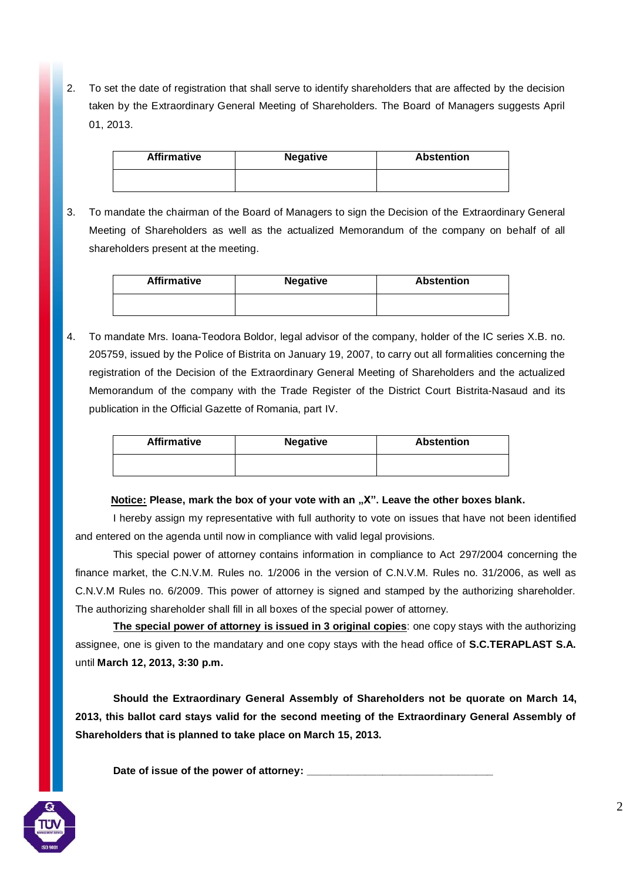2. To set the date of registration that shall serve to identify shareholders that are affected by the decision taken by the Extraordinary General Meeting of Shareholders. The Board of Managers suggests April 01, 2013.

| <b>Affirmative</b> | <b>Negative</b> | <b>Abstention</b> |
|--------------------|-----------------|-------------------|
|                    |                 |                   |

3. To mandate the chairman of the Board of Managers to sign the Decision of the Extraordinary General Meeting of Shareholders as well as the actualized Memorandum of the company on behalf of all shareholders present at the meeting.

| <b>Affirmative</b> | <b>Negative</b> | <b>Abstention</b> |
|--------------------|-----------------|-------------------|
|                    |                 |                   |

4. To mandate Mrs. Ioana-Teodora Boldor, legal advisor of the company, holder of the IC series X.B. no. 205759, issued by the Police of Bistrita on January 19, 2007, to carry out all formalities concerning the registration of the Decision of the Extraordinary General Meeting of Shareholders and the actualized Memorandum of the company with the Trade Register of the District Court Bistrita-Nasaud and its publication in the Official Gazette of Romania, part IV.

| <b>Affirmative</b> | <b>Negative</b> | <b>Abstention</b> |
|--------------------|-----------------|-------------------|
|                    |                 |                   |

#### **Notice: Please, mark the box of your vote with an "X". Leave the other boxes blank.**

I hereby assign my representative with full authority to vote on issues that have not been identified and entered on the agenda until now in compliance with valid legal provisions.

This special power of attorney contains information in compliance to Act 297/2004 concerning the finance market, the C.N.V.M. Rules no. 1/2006 in the version of C.N.V.M. Rules no. 31/2006, as well as C.N.V.M Rules no. 6/2009. This power of attorney is signed and stamped by the authorizing shareholder. The authorizing shareholder shall fill in all boxes of the special power of attorney.

**The special power of attorney is issued in 3 original copies**: one copy stays with the authorizing assignee, one is given to the mandatary and one copy stays with the head office of **S.C.TERAPLAST S.A.**  until **March 12, 2013, 3:30 p.m.**

**Should the Extraordinary General Assembly of Shareholders not be quorate on March 14, 2013, this ballot card stays valid for the second meeting of the Extraordinary General Assembly of Shareholders that is planned to take place on March 15, 2013.**

Date of issue of the power of attorney: